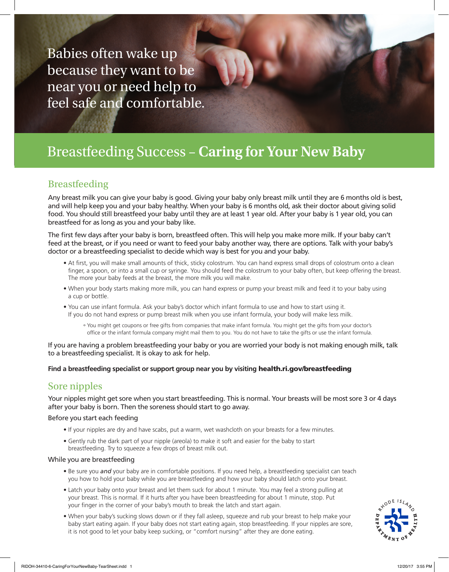Babies often wake up because they want to be near you or need help to feel safe and comfortable.

# Breastfeeding Success – **Caring for Your New Baby**

# Breastfeeding

Any breast milk you can give your baby is good. Giving your baby only breast milk until they are 6 months old is best, and will help keep you and your baby healthy. When your baby is 6 months old, ask their doctor about giving solid food. You should still breastfeed your baby until they are at least 1 year old. After your baby is 1 year old, you can breastfeed for as long as you and your baby like.

The first few days after your baby is born, breastfeed often. This will help you make more milk. If your baby can't feed at the breast, or if you need or want to feed your baby another way, there are options. Talk with your baby's doctor or a breastfeeding specialist to decide which way is best for you and your baby.

- At first, you will make small amounts of thick, sticky colostrum. You can hand express small drops of colostrum onto a clean finger, a spoon, or into a small cup or syringe. You should feed the colostrum to your baby often, but keep offering the breast. The more your baby feeds at the breast, the more milk you will make.
- When your body starts making more milk, you can hand express or pump your breast milk and feed it to your baby using a cup or bottle.
- You can use infant formula. Ask your baby's doctor which infant formula to use and how to start using it. If you do not hand express or pump breast milk when you use infant formula, your body will make less milk.
	- ° You might get coupons or free gifts from companies that make infant formula. You might get the gifts from your doctor's office or the infant formula company might mail them to you. You do not have to take the gifts or use the infant formula.

If you are having a problem breastfeeding your baby or you are worried your body is not making enough milk, talk to a breastfeeding specialist. It is okay to ask for help.

#### **Find a breastfeeding specialist or support group near you by visiting** health.ri.gov/breastfeeding

# Sore nipples

Your nipples might get sore when you start breastfeeding. This is normal. Your breasts will be most sore 3 or 4 days after your baby is born. Then the soreness should start to go away.

#### Before you start each feeding

- If your nipples are dry and have scabs, put a warm, wet washcloth on your breasts for a few minutes.
- Gently rub the dark part of your nipple (areola) to make it soft and easier for the baby to start breastfeeding. Try to squeeze a few drops of breast milk out.

#### While you are breastfeeding

- Be sure you *and* your baby are in comfortable positions. If you need help, a breastfeeding specialist can teach you how to hold your baby while you are breastfeeding and how your baby should latch onto your breast.
- Latch your baby onto your breast and let them suck for about 1 minute. You may feel a strong pulling at your breast. This is normal. If it hurts after you have been breastfeeding for about 1 minute, stop. Put your finger in the corner of your baby's mouth to break the latch and start again.
- When your baby's sucking slows down or if they fall asleep, squeeze and rub your breast to help make your baby start eating again. If your baby does not start eating again, stop breastfeeding. If your nipples are sore, it is not good to let your baby keep sucking, or "comfort nursing" after they are done eating.